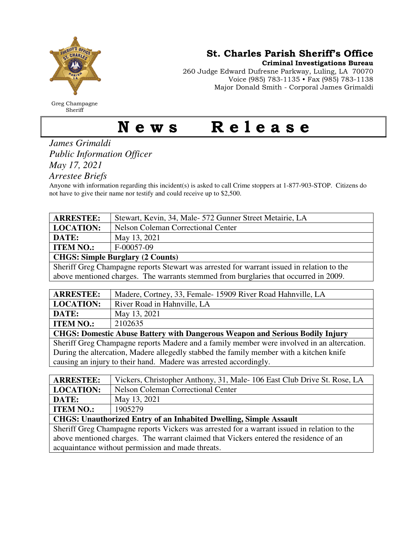

Greg Champagne Sheriff

St. Charles Parish Sheriff's Office

Criminal Investigations Bureau

260 Judge Edward Dufresne Parkway, Luling, LA 70070 Voice (985) 783-1135 • Fax (985) 783-1138 Major Donald Smith - Corporal James Grimaldi

## News Release

*James Grimaldi Public Information Officer May 17, 2021* 

*Arrestee Briefs* 

Anyone with information regarding this incident(s) is asked to call Crime stoppers at 1-877-903-STOP. Citizens do not have to give their name nor testify and could receive up to \$2,500.

| <b>ARRESTEE:</b>                                                                          | Stewart, Kevin, 34, Male- 572 Gunner Street Metairie, LA |  |
|-------------------------------------------------------------------------------------------|----------------------------------------------------------|--|
| <b>LOCATION:</b>                                                                          | <b>Nelson Coleman Correctional Center</b>                |  |
| DATE:                                                                                     | May 13, 2021                                             |  |
| <b>ITEM NO.:</b>                                                                          | F-00057-09                                               |  |
| <b>CHGS: Simple Burglary (2 Counts)</b>                                                   |                                                          |  |
| Sheriff Greg Champagne reports Stewart was arrested for warrant issued in relation to the |                                                          |  |

above mentioned charges. The warrants stemmed from burglaries that occurred in 2009.

| <b>ARRESTEE:</b>                                                                           | Madere, Cortney, 33, Female-15909 River Road Hahnville, LA |  |
|--------------------------------------------------------------------------------------------|------------------------------------------------------------|--|
| <b>LOCATION:</b>                                                                           | River Road in Hahnville, LA                                |  |
| DATE:                                                                                      | May 13, 2021                                               |  |
| <b>ITEM NO.:</b>                                                                           | 2102635                                                    |  |
| <b>CHGS: Domestic Abuse Battery with Dangerous Weapon and Serious Bodily Injury</b>        |                                                            |  |
| Sheriff Greg Champagne reports Madere and a family member were involved in an altercation. |                                                            |  |
| During the altercation, Madere allegedly stabbed the family member with a kitchen knife    |                                                            |  |
| causing an injury to their hand. Madere was arrested accordingly.                          |                                                            |  |

| <b>ARRESTEE:</b>                                                                            | Vickers, Christopher Anthony, 31, Male-106 East Club Drive St. Rose, LA |
|---------------------------------------------------------------------------------------------|-------------------------------------------------------------------------|
| <b>LOCATION:</b>                                                                            | <b>Nelson Coleman Correctional Center</b>                               |
| DATE:                                                                                       | May 13, 2021                                                            |
| <b>ITEM NO.:</b>                                                                            | 1905279                                                                 |
| <b>CHGS: Unauthorized Entry of an Inhabited Dwelling, Simple Assault</b>                    |                                                                         |
| Sheriff Greg Champagne reports Vickers was arrested for a warrant issued in relation to the |                                                                         |
| above mentioned charges. The warrant claimed that Vickers entered the residence of an       |                                                                         |

acquaintance without permission and made threats.